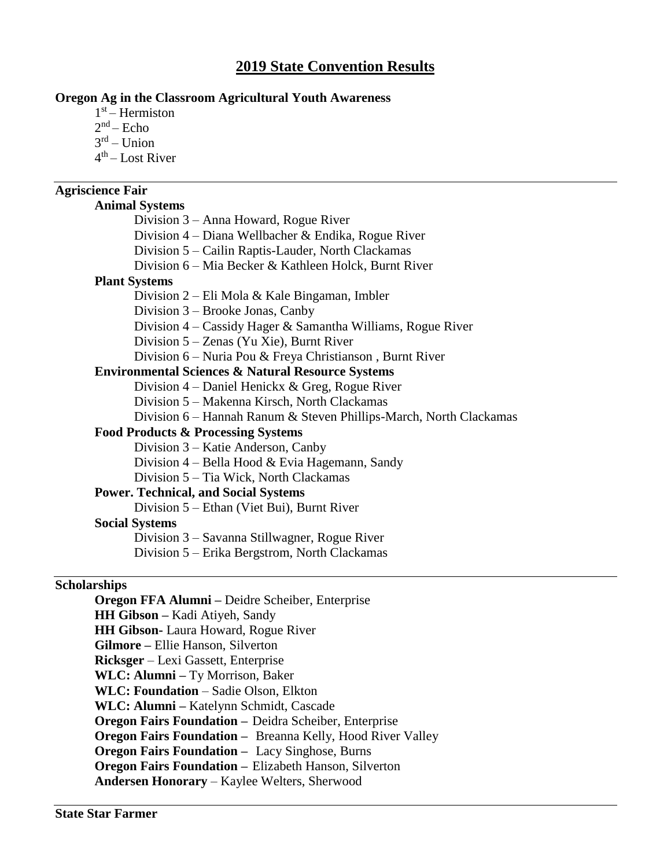# **2019 State Convention Results**

## **Oregon Ag in the Classroom Agricultural Youth Awareness**

- 1 st Hermiston
- $2<sup>nd</sup> Echo$
- 3 rd Union
- 4<sup>th</sup> Lost River

## **Agriscience Fair**

### **Animal Systems**

- Division 3 Anna Howard, Rogue River
- Division 4 Diana Wellbacher & Endika, Rogue River
- Division 5 Cailin Raptis-Lauder, North Clackamas
- Division 6 Mia Becker & Kathleen Holck, Burnt River

#### **Plant Systems**

- Division 2 Eli Mola & Kale Bingaman, Imbler
- Division 3 Brooke Jonas, Canby
- Division 4 Cassidy Hager & Samantha Williams, Rogue River
- Division 5 Zenas (Yu Xie), Burnt River
- Division 6 Nuria Pou & Freya Christianson , Burnt River

#### **Environmental Sciences & Natural Resource Systems**

- Division 4 Daniel Henickx & Greg, Rogue River
- Division 5 Makenna Kirsch, North Clackamas
- Division 6 Hannah Ranum & Steven Phillips-March, North Clackamas

### **Food Products & Processing Systems**

- Division 3 Katie Anderson, Canby
- Division 4 Bella Hood & Evia Hagemann, Sandy
- Division 5 Tia Wick, North Clackamas

## **Power. Technical, and Social Systems**

Division 5 – Ethan (Viet Bui), Burnt River

#### **Social Systems**

Division 3 – Savanna Stillwagner, Rogue River

Division 5 – Erika Bergstrom, North Clackamas

### **Scholarships**

**Oregon FFA Alumni –** Deidre Scheiber, Enterprise **HH Gibson –** Kadi Atiyeh, Sandy **HH Gibson-** Laura Howard, Rogue River **Gilmore –** Ellie Hanson, Silverton **Ricksger** – Lexi Gassett, Enterprise **WLC: Alumni –** Ty Morrison, Baker **WLC: Foundation** – Sadie Olson, Elkton **WLC: Alumni –** Katelynn Schmidt, Cascade **Oregon Fairs Foundation –** Deidra Scheiber, Enterprise **Oregon Fairs Foundation –** Breanna Kelly, Hood River Valley **Oregon Fairs Foundation –** Lacy Singhose, Burns **Oregon Fairs Foundation –** Elizabeth Hanson, Silverton **Andersen Honorary** – Kaylee Welters, Sherwood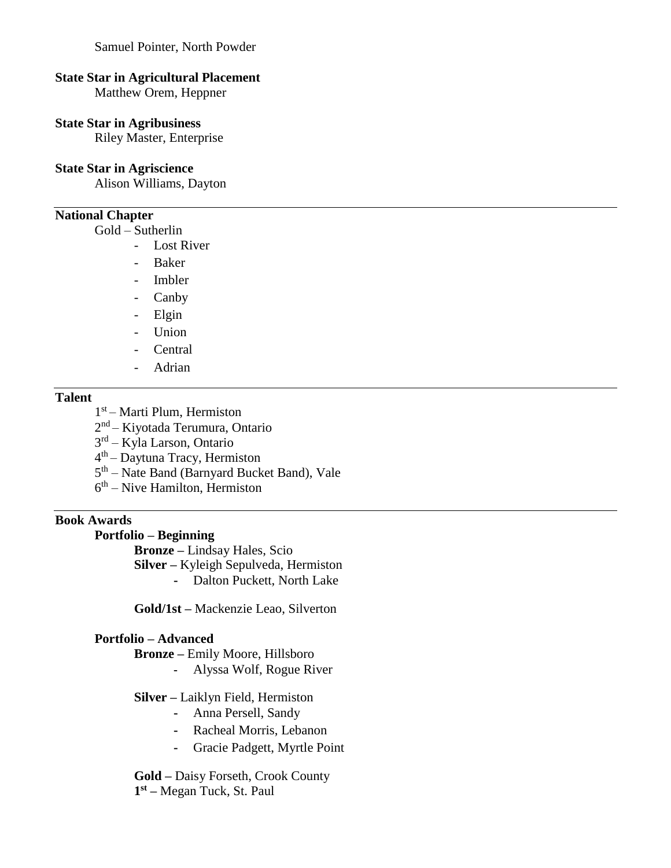Samuel Pointer, North Powder

#### **State Star in Agricultural Placement**

Matthew Orem, Heppner

## **State Star in Agribusiness**

Riley Master, Enterprise

### **State Star in Agriscience**

Alison Williams, Dayton

### **National Chapter**

Gold – Sutherlin

- Lost River
- Baker
- Imbler
- Canby
- Elgin
- Union
- Central
- Adrian

## **Talent**

- 1 st Marti Plum, Hermiston
- 2<sup>nd</sup> Kiyotada Terumura, Ontario
- 3 rd Kyla Larson, Ontario
- 4 th Daytuna Tracy, Hermiston
- 5<sup>th</sup> Nate Band (Barnyard Bucket Band), Vale
- 6<sup>th</sup> Nive Hamilton, Hermiston

## **Book Awards**

#### **Portfolio – Beginning**

**Bronze –** Lindsay Hales, Scio

**Silver –** Kyleigh Sepulveda, Hermiston

**-** Dalton Puckett, North Lake

**Gold/1st –** Mackenzie Leao, Silverton

#### **Portfolio – Advanced**

**Bronze –** Emily Moore, Hillsboro

**-** Alyssa Wolf, Rogue River

#### **Silver –** Laiklyn Field, Hermiston

- **-** Anna Persell, Sandy
- **-** Racheal Morris, Lebanon
- **-** Gracie Padgett, Myrtle Point

**Gold –** Daisy Forseth, Crook County **1 st –** Megan Tuck, St. Paul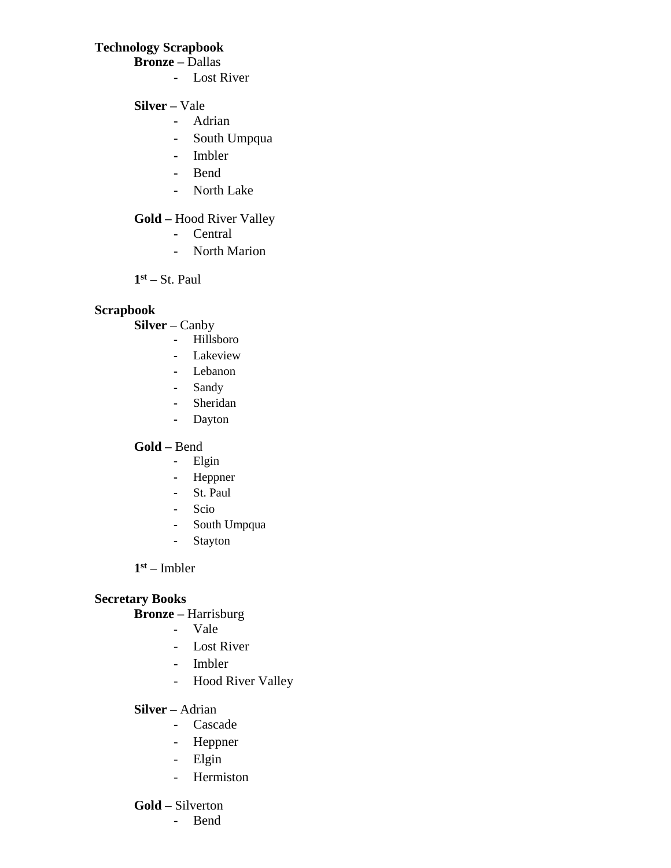# **Technology Scrapbook**

**Bronze –** Dallas

- **-** Lost River
- **Silver –** Vale
	- **-** Adrian
	- **-** South Umpqua
	- **-** Imbler
	- **-** Bend
	- **-** North Lake

# **Gold –** Hood River Valley

- **-** Central
- **-** North Marion

**1 st –** St. Paul

# **Scrapbook**

**Silver –** Canby

- **-** Hillsboro
- **-** Lakeview
- **-** Lebanon
- **-** Sandy
- **-** Sheridan
- **-** Dayton

# **Gold –** Bend

- **-** Elgin
- **-** Heppner
- **-** St. Paul
- **-** Scio
- **-** South Umpqua
- **-** Stayton

# **1 st –** Imbler

# **Secretary Books**

# **Bronze –** Harrisburg

- Vale
- Lost River
- Imbler
- Hood River Valley
- **Silver –** Adrian
	- Cascade
	- Heppner
	- Elgin
	- Hermiston

# **Gold –** Silverton

- Bend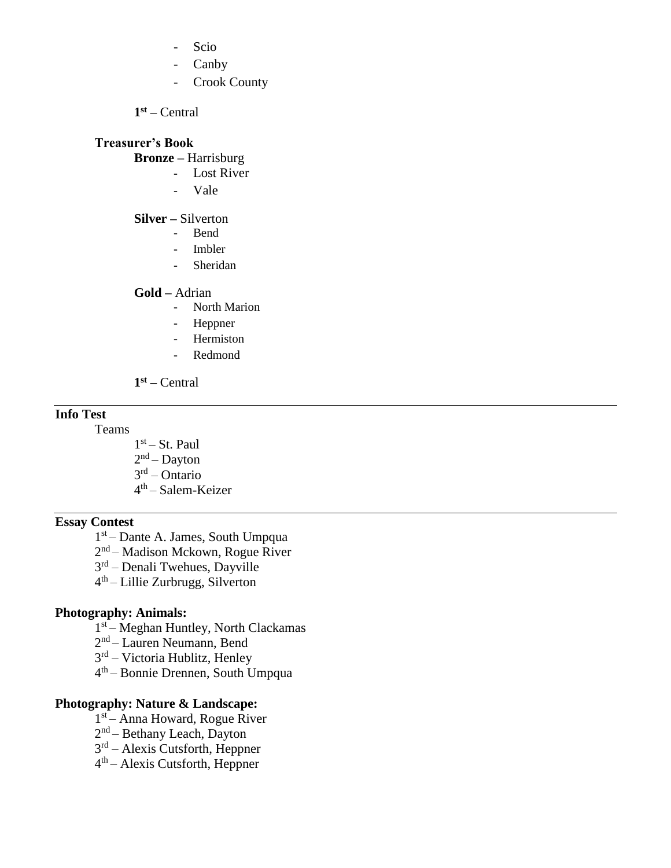- Scio
- Canby
- Crook County

**1 st –** Central

## **Treasurer's Book**

**Bronze –** Harrisburg

- Lost River
- Vale

#### **Silver –** Silverton

- Bend
- Imbler
- Sheridan

### **Gold –** Adrian

- North Marion
- Heppner
- Hermiston
- Redmond

**1 st –** Central

#### **Info Test**

Teams

1<sup>st</sup> – St. Paul 2<sup>nd</sup> – Dayton 3 rd – Ontario 4<sup>th</sup> – Salem-Keizer

# **Essay Contest**

1 st – Dante A. James, South Umpqua

2<sup>nd</sup> – Madison Mckown, Rogue River

3<sup>rd</sup> – Denali Twehues, Dayville

4 th – Lillie Zurbrugg, Silverton

#### **Photography: Animals:**

1<sup>st</sup> – Meghan Huntley, North Clackamas

2<sup>nd</sup> – Lauren Neumann, Bend

3 rd – Victoria Hublitz, Henley

4 th – Bonnie Drennen, South Umpqua

#### **Photography: Nature & Landscape:**

1 st – Anna Howard, Rogue River

2<sup>nd</sup> – Bethany Leach, Dayton

3 rd – Alexis Cutsforth, Heppner

4 th – Alexis Cutsforth, Heppner